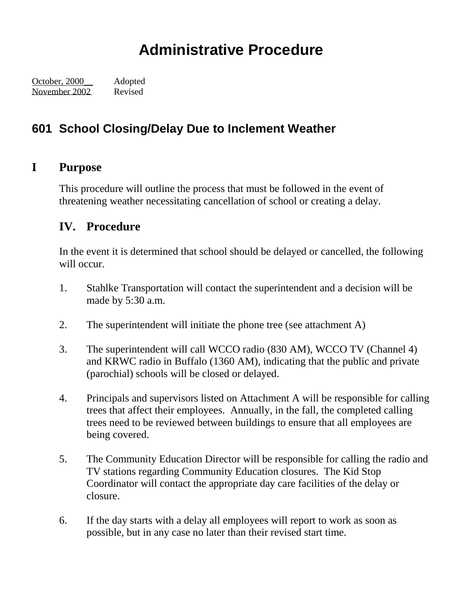## **Administrative Procedure**

October, 2000\_\_ Adopted November 2002 Revised

## **601 School Closing/Delay Due to Inclement Weather**

## **I Purpose**

This procedure will outline the process that must be followed in the event of threatening weather necessitating cancellation of school or creating a delay.

## **IV. Procedure**

In the event it is determined that school should be delayed or cancelled, the following will occur.

- 1. Stahlke Transportation will contact the superintendent and a decision will be made by 5:30 a.m.
- 2. The superintendent will initiate the phone tree (see attachment A)
- 3. The superintendent will call WCCO radio (830 AM), WCCO TV (Channel 4) and KRWC radio in Buffalo (1360 AM), indicating that the public and private (parochial) schools will be closed or delayed.
- 4. Principals and supervisors listed on Attachment A will be responsible for calling trees that affect their employees. Annually, in the fall, the completed calling trees need to be reviewed between buildings to ensure that all employees are being covered.
- 5. The Community Education Director will be responsible for calling the radio and TV stations regarding Community Education closures. The Kid Stop Coordinator will contact the appropriate day care facilities of the delay or closure.
- 6. If the day starts with a delay all employees will report to work as soon as possible, but in any case no later than their revised start time.